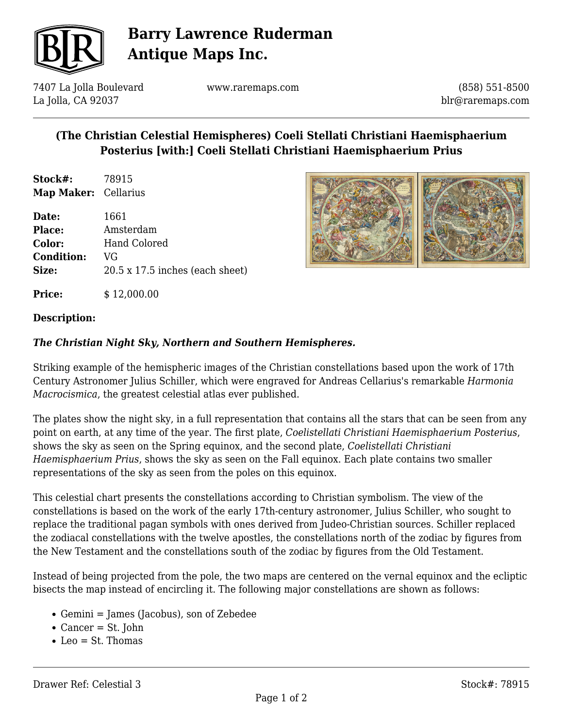

# **Barry Lawrence Ruderman Antique Maps Inc.**

7407 La Jolla Boulevard La Jolla, CA 92037

www.raremaps.com

(858) 551-8500 blr@raremaps.com

## **(The Christian Celestial Hemispheres) Coeli Stellati Christiani Haemisphaerium Posterius [with:] Coeli Stellati Christiani Haemisphaerium Prius**

**Stock#:** 78915 **Map Maker:** Cellarius

**Price:**  $$ 12,000.00$ 

**Date:** 1661 **Place:** Amsterdam **Color:** Hand Colored **Condition:** VG **Size:** 20.5 x 17.5 inches (each sheet)



#### **Description:**

#### *The Christian Night Sky, Northern and Southern Hemispheres.*

Striking example of the hemispheric images of the Christian constellations based upon the work of 17th Century Astronomer Julius Schiller, which were engraved for Andreas Cellarius's remarkable *Harmonia Macrocismica*, the greatest celestial atlas ever published.

The plates show the night sky, in a full representation that contains all the stars that can be seen from any point on earth, at any time of the year. The first plate, *Coelistellati Christiani Haemisphaerium Posterius*, shows the sky as seen on the Spring equinox, and the second plate, *Coelistellati Christiani Haemisphaerium Prius*, shows the sky as seen on the Fall equinox. Each plate contains two smaller representations of the sky as seen from the poles on this equinox.

This celestial chart presents the constellations according to Christian symbolism. The view of the constellations is based on the work of the early 17th-century astronomer, Julius Schiller, who sought to replace the traditional pagan symbols with ones derived from Judeo-Christian sources. Schiller replaced the zodiacal constellations with the twelve apostles, the constellations north of the zodiac by figures from the New Testament and the constellations south of the zodiac by figures from the Old Testament.

Instead of being projected from the pole, the two maps are centered on the vernal equinox and the ecliptic bisects the map instead of encircling it. The following major constellations are shown as follows:

- Gemini = James (Jacobus), son of Zebedee
- $\bullet$  Cancer = St. John
- $\bullet$  Leo = St. Thomas